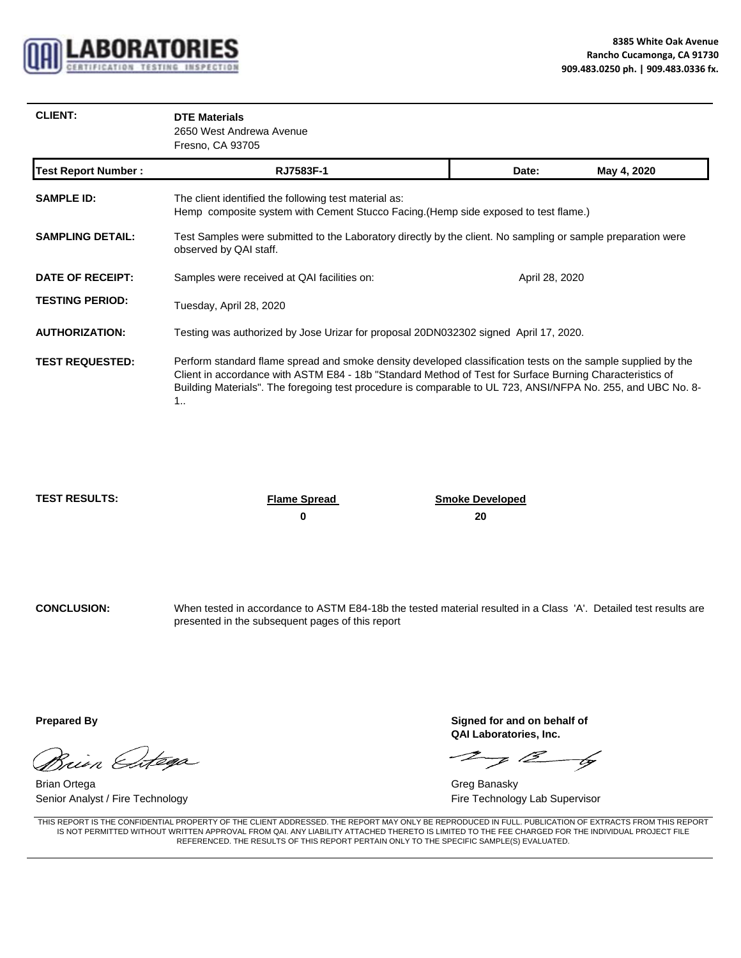

| <b>CLIENT:</b> | <b>DTE Materials</b>     |
|----------------|--------------------------|
|                | 2650 West Andrewa Avenue |
|                | Fresno, CA 93705         |

| <b>Test Report Number:</b> | RJ7583F-1                                                                                                                                                                                                                                                                                                                                           | Date:          | May 4, 2020 |  |
|----------------------------|-----------------------------------------------------------------------------------------------------------------------------------------------------------------------------------------------------------------------------------------------------------------------------------------------------------------------------------------------------|----------------|-------------|--|
| <b>SAMPLE ID:</b>          | The client identified the following test material as:<br>Hemp composite system with Cement Stucco Facing.(Hemp side exposed to test flame.)                                                                                                                                                                                                         |                |             |  |
| <b>SAMPLING DETAIL:</b>    | Test Samples were submitted to the Laboratory directly by the client. No sampling or sample preparation were<br>observed by QAI staff.                                                                                                                                                                                                              |                |             |  |
| DATE OF RECEIPT:           | Samples were received at QAI facilities on:                                                                                                                                                                                                                                                                                                         | April 28, 2020 |             |  |
| <b>TESTING PERIOD:</b>     | Tuesday, April 28, 2020                                                                                                                                                                                                                                                                                                                             |                |             |  |
| <b>AUTHORIZATION:</b>      | Testing was authorized by Jose Urizar for proposal 20DN032302 signed April 17, 2020.                                                                                                                                                                                                                                                                |                |             |  |
| <b>TEST REQUESTED:</b>     | Perform standard flame spread and smoke density developed classification tests on the sample supplied by the<br>Client in accordance with ASTM E84 - 18b "Standard Method of Test for Surface Burning Characteristics of<br>Building Materials". The foregoing test procedure is comparable to UL 723, ANSI/NFPA No. 255, and UBC No. 8-<br>$1_{1}$ |                |             |  |

**TEST RESULTS: Flame Spread Smoke Developed** Smoke Developed **0 20**

**CONCLUSION:** When tested in accordance to ASTM E84-18b the tested material resulted in a Class 'A'. Detailed test results are presented in the subsequent pages of this report

Brien Estega

Brian Ortega Greg Banasky Communication of the Communication of the Communication of the Communication of the Communication of the Communication of the Communication of the Communication of the Communication of the Communi Senior Analyst / Fire Technology **Fire Technology** Lab Supervisor

**Prepared By** Signed for and on behalf of **QAI Laboratories, Inc.**

 $\mathcal{I}$  of  $\beta$  by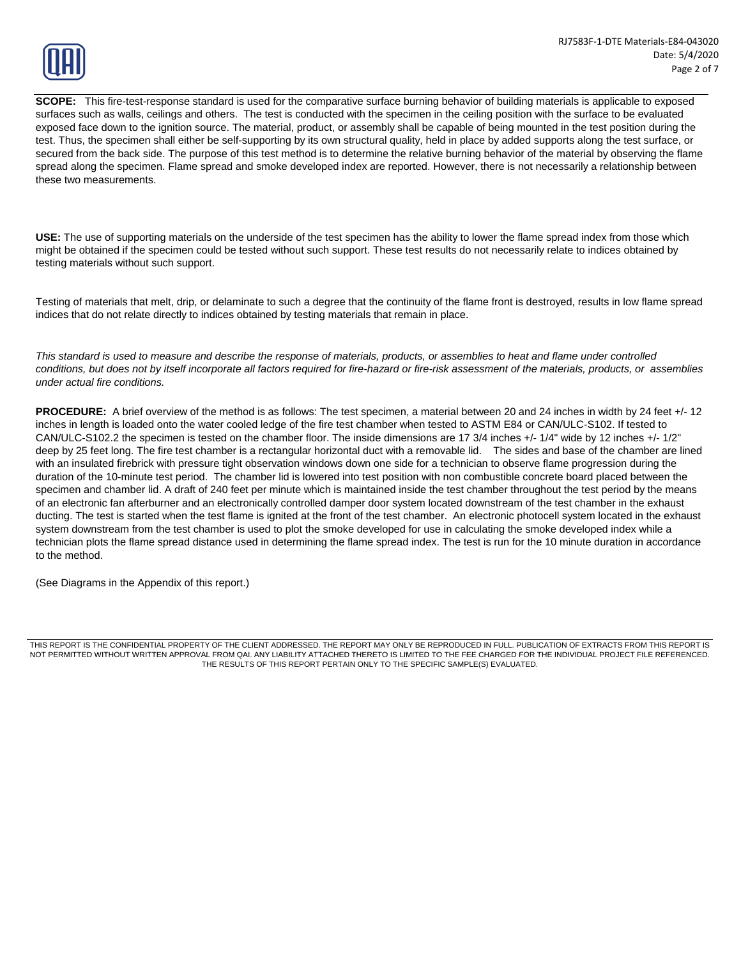

**SCOPE:** This fire-test-response standard is used for the comparative surface burning behavior of building materials is applicable to exposed surfaces such as walls, ceilings and others. The test is conducted with the specimen in the ceiling position with the surface to be evaluated exposed face down to the ignition source. The material, product, or assembly shall be capable of being mounted in the test position during the test. Thus, the specimen shall either be self-supporting by its own structural quality, held in place by added supports along the test surface, or secured from the back side. The purpose of this test method is to determine the relative burning behavior of the material by observing the flame spread along the specimen. Flame spread and smoke developed index are reported. However, there is not necessarily a relationship between these two measurements.

**USE:** The use of supporting materials on the underside of the test specimen has the ability to lower the flame spread index from those which might be obtained if the specimen could be tested without such support. These test results do not necessarily relate to indices obtained by testing materials without such support.

Testing of materials that melt, drip, or delaminate to such a degree that the continuity of the flame front is destroyed, results in low flame spread indices that do not relate directly to indices obtained by testing materials that remain in place. indices that do not relate directly to indices obtained by testing materials that remain in

*This standard is used to measure and describe the response of materials, products, or assemblies to heat and flame under controlled conditions, but does not by itself incorporate all factors required for fire-hazard or fire-risk assessment of the materials, products, or assemblies under actual fire conditions.*

**PROCEDURE:** A brief overview of the method is as follows: The test specimen, a material between 20 and 24 inches in width by 24 feet +/- 12 inches in length is loaded onto the water cooled ledge of the fire test chamber when tested to ASTM E84 or CAN/ULC-S102. If tested to CAN/ULC-S102.2 the specimen is tested on the chamber floor. The inside dimensions are 17 3/4 inches +/- 1/4" wide by 12 inches +/- 1/2" deep by 25 feet long. The fire test chamber is a rectangular horizontal duct with a removable lid. The sides and base of the chamber are lined with an insulated firebrick with pressure tight observation windows down one side for a technician to observe flame progression during the duration of the 10-minute test period. The chamber lid is lowered into test position with non combustible concrete board placed between the specimen and chamber lid. A draft of 240 feet per minute which is maintained inside the test chamber throughout the test period by the means of an electronic fan afterburner and an electronically controlled damper door system located downstream of the test chamber in the exhaust ducting. The test is started when the test flame is ignited at the front of the test chamber. An electronic photocell system located in the exhaust system downstream from the test chamber is used to plot the smoke developed for use in calculating the smoke developed index while a technician plots the flame spread distance used in determining the flame spread index. The test is run for the 10 minute duration in accordance to the method.

(See Diagrams in the Appendix of this report.)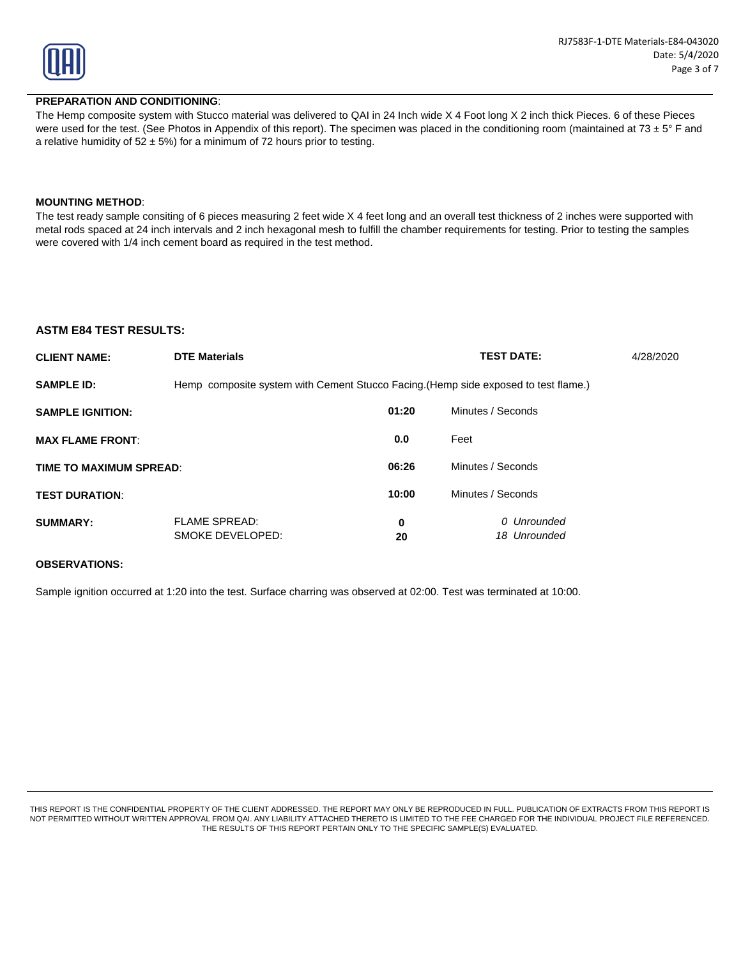

#### **PREPARATION AND CONDITIONING**:

The Hemp composite system with Stucco material was delivered to QAI in 24 Inch wide X 4 Foot long X 2 inch thick Pieces. 6 of these Pieces were used for the test. (See Photos in Appendix of this report). The specimen was placed in the conditioning room (maintained at 73  $\pm$  5° F and a relative humidity of  $52 \pm 5\%$ ) for a minimum of 72 hours prior to testing.

#### **MOUNTING METHOD**: **MOUNTING**

The test ready sample consiting of 6 pieces measuring 2 feet wide X 4 feet long and an overall test thickness of 2 inches were supported with metal rods spaced at 24 inch intervals and 2 inch hexagonal mesh to fulfill the chamber requirements for testing. Prior to testing the samples were covered with 1/4 inch cement board as required in the test method.

#### **ASTM E84 TEST RESULTS:**

| <b>CLIENT NAME:</b>     | <b>DTE Materials</b>                                                                |         | <b>TEST DATE:</b>           | 4/28/2020 |
|-------------------------|-------------------------------------------------------------------------------------|---------|-----------------------------|-----------|
| <b>SAMPLE ID:</b>       | Hemp composite system with Cement Stucco Facing. (Hemp side exposed to test flame.) |         |                             |           |
| <b>SAMPLE IGNITION:</b> |                                                                                     | 01:20   | Minutes / Seconds           |           |
| <b>MAX FLAME FRONT:</b> |                                                                                     | 0.0     | Feet                        |           |
| TIME TO MAXIMUM SPREAD: |                                                                                     | 06:26   | Minutes / Seconds           |           |
| <b>TEST DURATION:</b>   |                                                                                     | 10:00   | Minutes / Seconds           |           |
| <b>SUMMARY:</b>         | <b>FLAME SPREAD:</b><br>SMOKE DEVELOPED:                                            | 0<br>20 | 0 Unrounded<br>18 Unrounded |           |

#### **OBSERVATIONS:**

Sample ignition occurred at 1:20 into the test. Surface charring was observed at 02:00. Test was terminated at 10:00.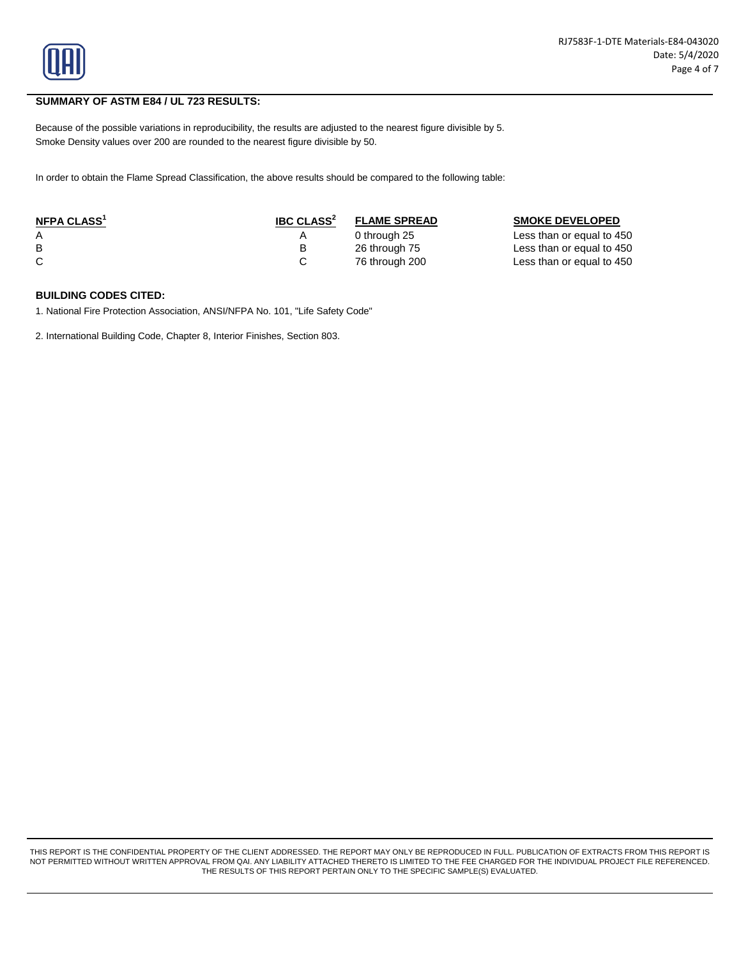

## **SUMMARY OF ASTM E84 / UL 723 RESULTS:**

Because of the possible variations in reproducibility, the results are adjusted to the nearest figure divisible by 5. Smoke Density values over 200 are rounded to the nearest figure divisible by 50.

In order to obtain the Flame Spread Classification, the above results should be compared to the following table:

| NFPA CLASS <sup>1</sup> | <b>IBC CLASS<sup>2</sup></b> | <b>FLAME SPREAD</b> | <b>SMOKE DEVELOPED</b>    |
|-------------------------|------------------------------|---------------------|---------------------------|
| Α                       |                              | 0 through 25        | Less than or equal to 450 |
| B                       |                              | 26 through 75       | Less than or equal to 450 |
|                         |                              | 76 through 200      | Less than or equal to 450 |

## **BUILDING CODES CITED:**

1. National Fire Protection Association, ANSI/NFPA No. 101, "Life Safety Code"

2. International Building Code, Chapter 8, Interior Finishes, Section 803.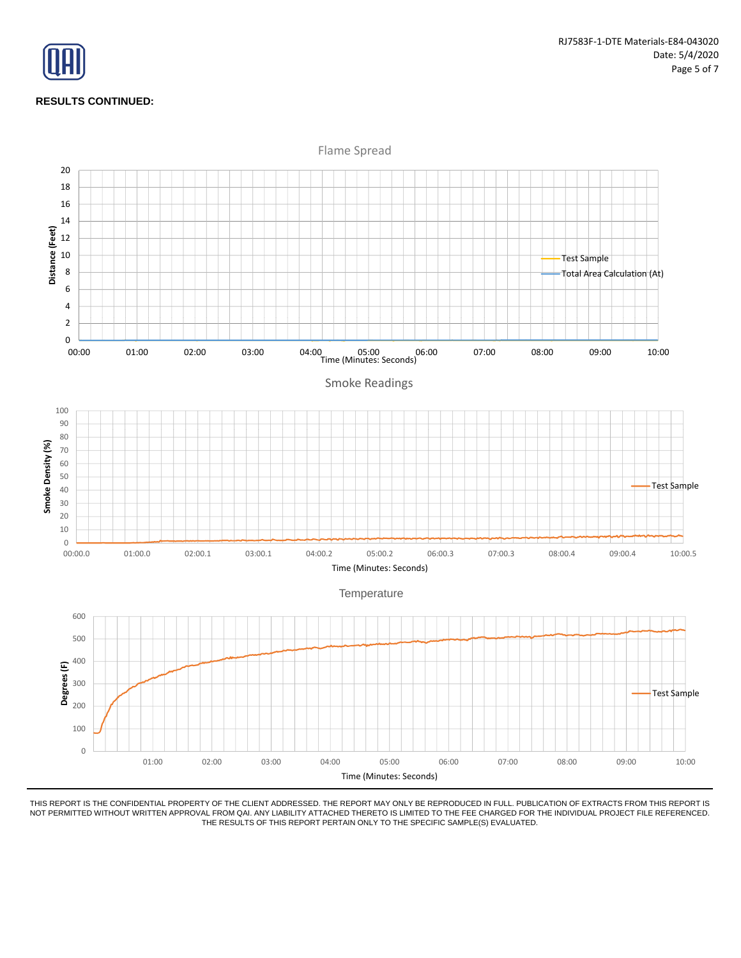

## **RESULTS CONTINUED:**

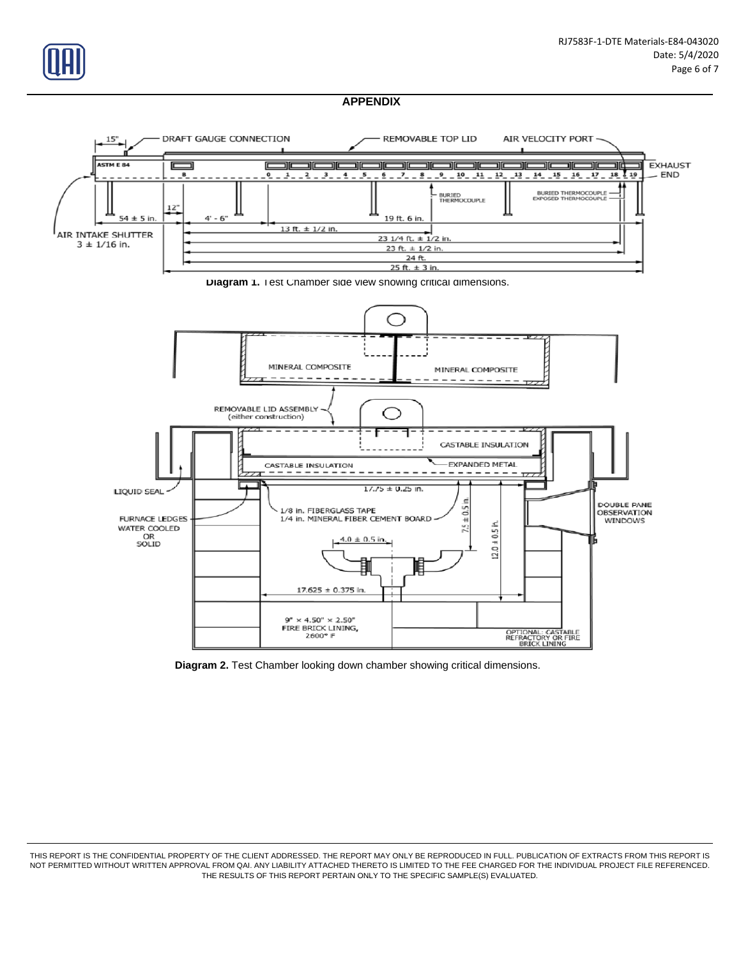





**Diagram 2.** Test Chamber looking down chamber showing critical dimensions.